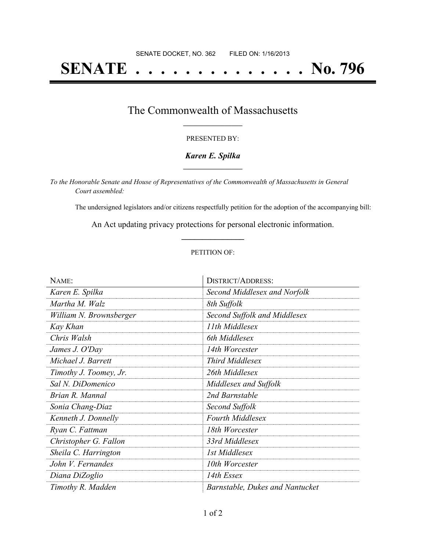# **SENATE . . . . . . . . . . . . . . No. 796**

## The Commonwealth of Massachusetts **\_\_\_\_\_\_\_\_\_\_\_\_\_\_\_\_\_**

#### PRESENTED BY:

#### *Karen E. Spilka* **\_\_\_\_\_\_\_\_\_\_\_\_\_\_\_\_\_**

*To the Honorable Senate and House of Representatives of the Commonwealth of Massachusetts in General Court assembled:*

The undersigned legislators and/or citizens respectfully petition for the adoption of the accompanying bill:

An Act updating privacy protections for personal electronic information. **\_\_\_\_\_\_\_\_\_\_\_\_\_\_\_**

#### PETITION OF:

| NAME:                   | <b>DISTRICT/ADDRESS:</b>        |
|-------------------------|---------------------------------|
| Karen E. Spilka         | Second Middlesex and Norfolk    |
| Martha M. Walz          | 8th Suffolk                     |
| William N. Brownsberger | Second Suffolk and Middlesex    |
| Kay Khan                | 11th Middlesex                  |
| Chris Walsh             | 6th Middlesex                   |
| James J. O'Day          | 14th Worcester                  |
| Michael J. Barrett      | <b>Third Middlesex</b>          |
| Timothy J. Toomey, Jr.  | 26th Middlesex                  |
| Sal N. DiDomenico       | Middlesex and Suffolk           |
| Brian R. Mannal         | 2nd Barnstable                  |
| Sonia Chang-Diaz        | Second Suffolk                  |
| Kenneth J. Donnelly     | <b>Fourth Middlesex</b>         |
| Ryan C. Fattman         | 18th Worcester                  |
| Christopher G. Fallon   | 33rd Middlesex                  |
| Sheila C. Harrington    | 1st Middlesex                   |
| John V. Fernandes       | 10th Worcester                  |
| Diana DiZoglio          | 14th Essex                      |
| Timothy R. Madden       | Barnstable, Dukes and Nantucket |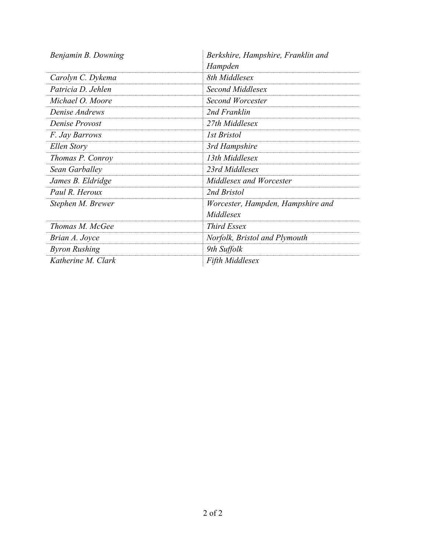| Benjamin B. Downing  | Berkshire, Hampshire, Franklin and |
|----------------------|------------------------------------|
|                      | Hampden                            |
| Carolyn C. Dykema    | 8th Middlesex                      |
| Patricia D. Jehlen   | Second Middlesex                   |
| Michael O. Moore     | Second Worcester                   |
| Denise Andrews       | 2nd Franklin                       |
| Denise Provost       | 27th Middlesex                     |
| F. Jay Barrows       | <i>Ist Bristol</i>                 |
| Ellen Story          | 3rd Hampshire                      |
| Thomas P. Conroy     | 13th Middlesex                     |
| Sean Garballey       | 23rd Middlesex                     |
| James B. Eldridge    | Middlesex and Worcester            |
| Paul R. Heroux       | 2nd Bristol                        |
| Stephen M. Brewer    | Worcester, Hampden, Hampshire and  |
|                      | Middlesex                          |
| Thomas M. McGee      | <b>Third Essex</b>                 |
| Brian A. Joyce       | Norfolk, Bristol and Plymouth      |
| <b>Byron Rushing</b> | 9th Suffolk                        |
| Katherine M. Clark   | <b>Fifth Middlesex</b>             |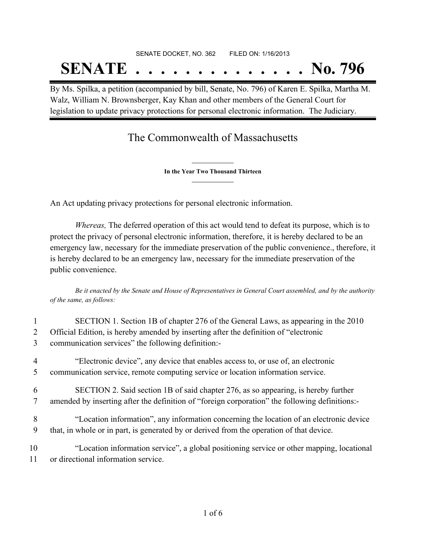# SENATE DOCKET, NO. 362 FILED ON: 1/16/2013 **SENATE . . . . . . . . . . . . . . No. 796**

By Ms. Spilka, a petition (accompanied by bill, Senate, No. 796) of Karen E. Spilka, Martha M. Walz, William N. Brownsberger, Kay Khan and other members of the General Court for legislation to update privacy protections for personal electronic information. The Judiciary.

## The Commonwealth of Massachusetts

**\_\_\_\_\_\_\_\_\_\_\_\_\_\_\_ In the Year Two Thousand Thirteen \_\_\_\_\_\_\_\_\_\_\_\_\_\_\_**

An Act updating privacy protections for personal electronic information.

*Whereas,* The deferred operation of this act would tend to defeat its purpose, which is to protect the privacy of personal electronic information, therefore, it is hereby declared to be an emergency law, necessary for the immediate preservation of the public convenience., therefore, it is hereby declared to be an emergency law, necessary for the immediate preservation of the public convenience.

Be it enacted by the Senate and House of Representatives in General Court assembled, and by the authority *of the same, as follows:*

| 2<br>3 | SECTION 1. Section 1B of chapter 276 of the General Laws, as appearing in the 2010<br>Official Edition, is hereby amended by inserting after the definition of "electronic<br>communication services" the following definition:- |
|--------|----------------------------------------------------------------------------------------------------------------------------------------------------------------------------------------------------------------------------------|
| 4      | "Electronic device", any device that enables access to, or use of, an electronic                                                                                                                                                 |
| 5      | communication service, remote computing service or location information service.                                                                                                                                                 |
| 6      | SECTION 2. Said section 1B of said chapter 276, as so appearing, is hereby further                                                                                                                                               |
| 7      | amended by inserting after the definition of "foreign corporation" the following definitions:-                                                                                                                                   |
| 8      | "Location information", any information concerning the location of an electronic device                                                                                                                                          |
| 9      | that, in whole or in part, is generated by or derived from the operation of that device.                                                                                                                                         |
| 10     | "Location information service", a global positioning service or other mapping, locational                                                                                                                                        |
| 11     | or directional information service.                                                                                                                                                                                              |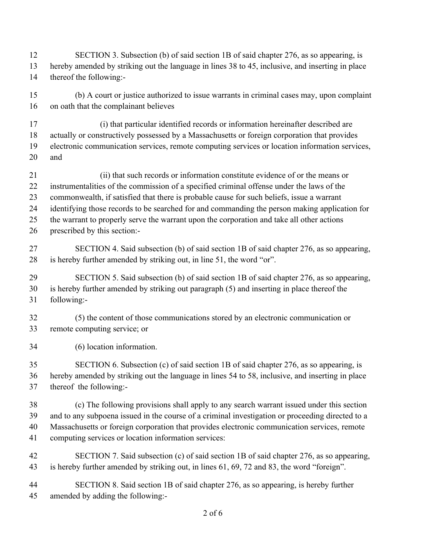- SECTION 3. Subsection (b) of said section 1B of said chapter 276, as so appearing, is hereby amended by striking out the language in lines 38 to 45, inclusive, and inserting in place thereof the following:-
- (b) A court or justice authorized to issue warrants in criminal cases may, upon complaint on oath that the complainant believes
- (i) that particular identified records or information hereinafter described are
- actually or constructively possessed by a Massachusetts or foreign corporation that provides
- electronic communication services, remote computing services or location information services, and
- (ii) that such records or information constitute evidence of or the means or instrumentalities of the commission of a specified criminal offense under the laws of the commonwealth, if satisfied that there is probable cause for such beliefs, issue a warrant identifying those records to be searched for and commanding the person making application for the warrant to properly serve the warrant upon the corporation and take all other actions prescribed by this section:-
- SECTION 4. Said subsection (b) of said section 1B of said chapter 276, as so appearing, is hereby further amended by striking out, in line 51, the word "or".
- SECTION 5. Said subsection (b) of said section 1B of said chapter 276, as so appearing, is hereby further amended by striking out paragraph (5) and inserting in place thereof the following:-
- (5) the content of those communications stored by an electronic communication or remote computing service; or
- (6) location information.
- SECTION 6. Subsection (c) of said section 1B of said chapter 276, as so appearing, is hereby amended by striking out the language in lines 54 to 58, inclusive, and inserting in place thereof the following:-
- (c) The following provisions shall apply to any search warrant issued under this section and to any subpoena issued in the course of a criminal investigation or proceeding directed to a Massachusetts or foreign corporation that provides electronic communication services, remote computing services or location information services:
- SECTION 7. Said subsection (c) of said section 1B of said chapter 276, as so appearing, is hereby further amended by striking out, in lines 61, 69, 72 and 83, the word "foreign".
- SECTION 8. Said section 1B of said chapter 276, as so appearing, is hereby further amended by adding the following:-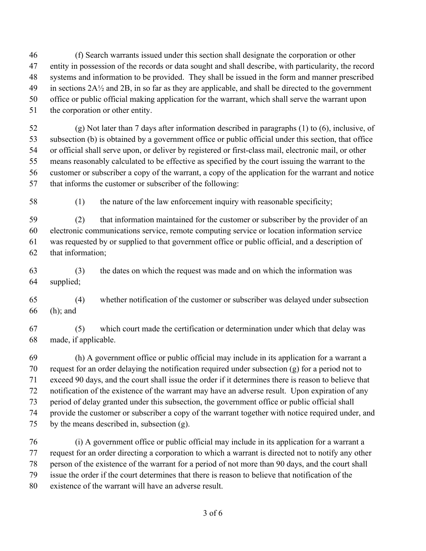(f) Search warrants issued under this section shall designate the corporation or other entity in possession of the records or data sought and shall describe, with particularity, the record systems and information to be provided. They shall be issued in the form and manner prescribed 49 in sections  $2A\frac{1}{2}$  and  $2B$ , in so far as they are applicable, and shall be directed to the government office or public official making application for the warrant, which shall serve the warrant upon the corporation or other entity.

 (g) Not later than 7 days after information described in paragraphs (1) to (6), inclusive, of subsection (b) is obtained by a government office or public official under this section, that office or official shall serve upon, or deliver by registered or first-class mail, electronic mail, or other means reasonably calculated to be effective as specified by the court issuing the warrant to the customer or subscriber a copy of the warrant, a copy of the application for the warrant and notice that informs the customer or subscriber of the following:

(1) the nature of the law enforcement inquiry with reasonable specificity;

 (2) that information maintained for the customer or subscriber by the provider of an electronic communications service, remote computing service or location information service was requested by or supplied to that government office or public official, and a description of that information;

 (3) the dates on which the request was made and on which the information was supplied;

 (4) whether notification of the customer or subscriber was delayed under subsection (h); and

 (5) which court made the certification or determination under which that delay was made, if applicable.

 (h) A government office or public official may include in its application for a warrant a request for an order delaying the notification required under subsection (g) for a period not to exceed 90 days, and the court shall issue the order if it determines there is reason to believe that notification of the existence of the warrant may have an adverse result. Upon expiration of any period of delay granted under this subsection, the government office or public official shall provide the customer or subscriber a copy of the warrant together with notice required under, and by the means described in, subsection (g).

 (i) A government office or public official may include in its application for a warrant a request for an order directing a corporation to which a warrant is directed not to notify any other person of the existence of the warrant for a period of not more than 90 days, and the court shall issue the order if the court determines that there is reason to believe that notification of the existence of the warrant will have an adverse result.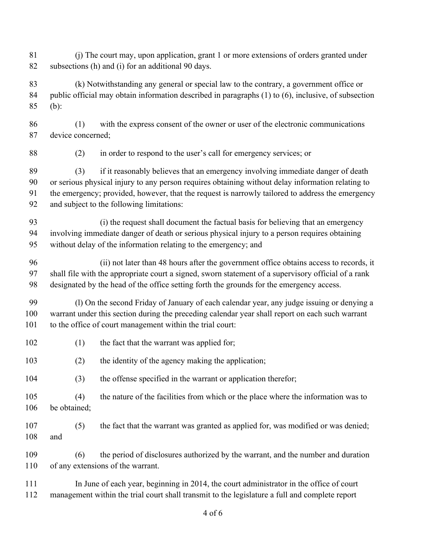(j) The court may, upon application, grant 1 or more extensions of orders granted under subsections (h) and (i) for an additional 90 days. (k) Notwithstanding any general or special law to the contrary, a government office or public official may obtain information described in paragraphs (1) to (6), inclusive, of subsection (b): (1) with the express consent of the owner or user of the electronic communications device concerned; (2) in order to respond to the user's call for emergency services; or (3) if it reasonably believes that an emergency involving immediate danger of death or serious physical injury to any person requires obtaining without delay information relating to the emergency; provided, however, that the request is narrowly tailored to address the emergency and subject to the following limitations: (i) the request shall document the factual basis for believing that an emergency involving immediate danger of death or serious physical injury to a person requires obtaining without delay of the information relating to the emergency; and (ii) not later than 48 hours after the government office obtains access to records, it shall file with the appropriate court a signed, sworn statement of a supervisory official of a rank designated by the head of the office setting forth the grounds for the emergency access. (l) On the second Friday of January of each calendar year, any judge issuing or denying a warrant under this section during the preceding calendar year shall report on each such warrant to the office of court management within the trial court: 102 (1) the fact that the warrant was applied for; (2) the identity of the agency making the application; (3) the offense specified in the warrant or application therefor; (4) the nature of the facilities from which or the place where the information was to be obtained; (5) the fact that the warrant was granted as applied for, was modified or was denied; and (6) the period of disclosures authorized by the warrant, and the number and duration of any extensions of the warrant. 111 In June of each year, beginning in 2014, the court administrator in the office of court management within the trial court shall transmit to the legislature a full and complete report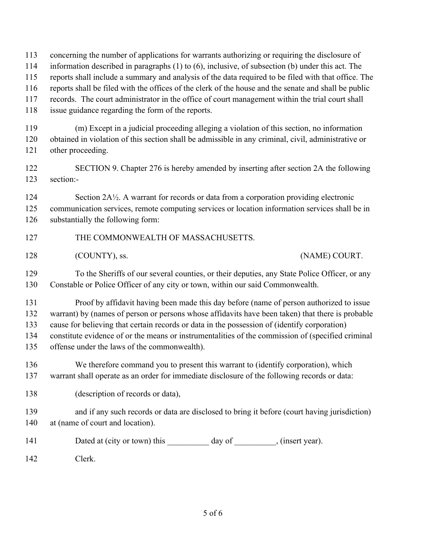concerning the number of applications for warrants authorizing or requiring the disclosure of

- information described in paragraphs (1) to (6), inclusive, of subsection (b) under this act. The
- reports shall include a summary and analysis of the data required to be filed with that office. The

reports shall be filed with the offices of the clerk of the house and the senate and shall be public

records. The court administrator in the office of court management within the trial court shall

issue guidance regarding the form of the reports.

 (m) Except in a judicial proceeding alleging a violation of this section, no information obtained in violation of this section shall be admissible in any criminal, civil, administrative or other proceeding.

 SECTION 9. Chapter 276 is hereby amended by inserting after section 2A the following section:-

124 Section 2A½. A warrant for records or data from a corporation providing electronic communication services, remote computing services or location information services shall be in substantially the following form:

### 127 THE COMMONWEALTH OF MASSACHUSETTS.

128 (COUNTY), ss. (NAME) COURT.

 To the Sheriffs of our several counties, or their deputies, any State Police Officer, or any Constable or Police Officer of any city or town, within our said Commonwealth.

 Proof by affidavit having been made this day before (name of person authorized to issue warrant) by (names of person or persons whose affidavits have been taken) that there is probable cause for believing that certain records or data in the possession of (identify corporation) constitute evidence of or the means or instrumentalities of the commission of (specified criminal

offense under the laws of the commonwealth).

 We therefore command you to present this warrant to (identify corporation), which warrant shall operate as an order for immediate disclosure of the following records or data:

138 (description of records or data),

 and if any such records or data are disclosed to bring it before (court having jurisdiction) at (name of court and location).

141 Dated at (city or town) this day of \_\_\_\_\_\_\_\_, (insert year).

Clerk.